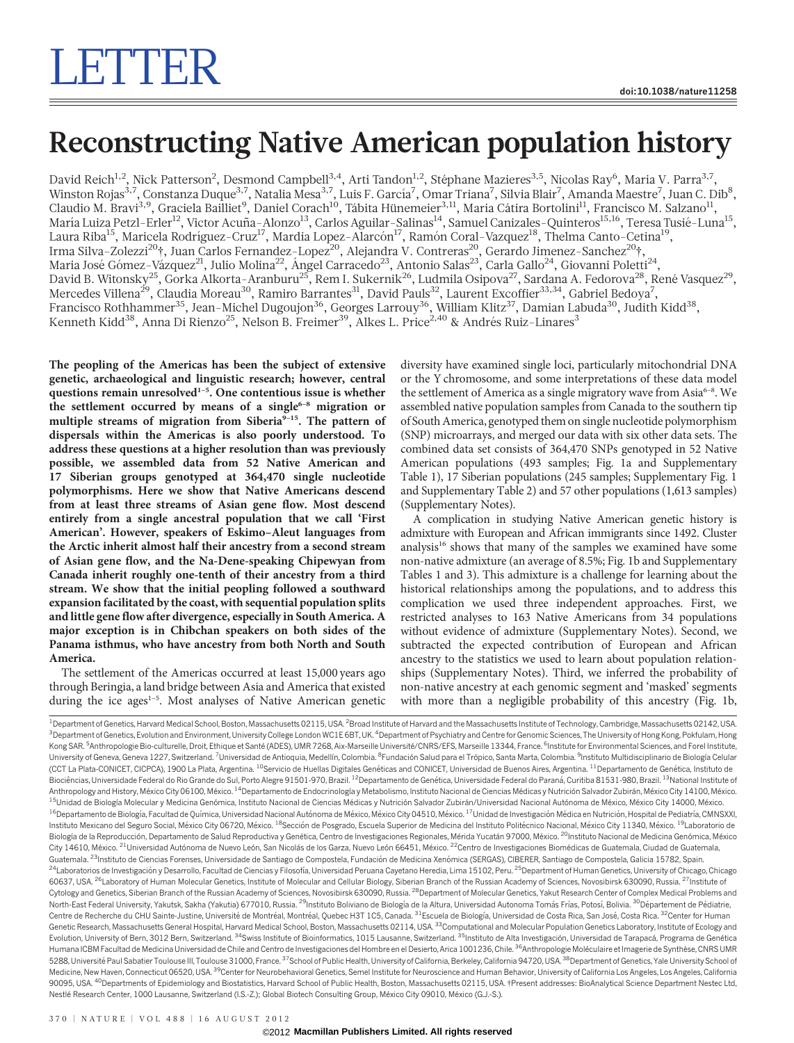# LETTER

## Reconstructing Native American population history

David Reich<sup>1,2</sup>, Nick Patterson<sup>2</sup>, Desmond Campbell<sup>3,4</sup>, Arti Tandon<sup>1,2</sup>, Stéphane Mazieres<sup>3,5</sup>, Nicolas Ray<sup>6</sup>, Maria V. Parra<sup>3,7</sup>, Winston Rojas $^{3,7}$ , Constanza Duque $^{3,7}$ , Natalia Mesa $^{3,7}$ , Luis F. García $^7$ , Omar Triana $^7$ , Silvia Blair $^7$ , Amanda Maestre $^7$ , Juan C. Dib $^8$ , Claudio M. Bravi<sup>3,9</sup>, Graciela Bailliet<sup>9</sup>, Daniel Corach<sup>10</sup>, Tábita Hünemeier<sup>3,11</sup>, Maria Cátira Bortolini<sup>11</sup>, Francisco M. Salzano<sup>11</sup>, María Luiza Petzl-Erler<sup>12</sup>, Victor Acuña-Alonzo<sup>13</sup>, Carlos Aguilar-Salinas<sup>14</sup>, Samuel Canizales-Quinteros<sup>15,16</sup>, Teresa Tusié-Luna<sup>15</sup>, Laura Riba<sup>15</sup>, Maricela Rodríguez-Cruz<sup>17</sup>, Mardia Lopez-Alarcón<sup>17</sup>, Ramón Coral-Vazquez<sup>18</sup>, Thelma Canto-Cetina<sup>19</sup>, Irma Silva-Zolezzi<sup>20</sup>†, Juan Carlos Fernandez-Lopez<sup>20</sup>, Alejandra V. Contreras<sup>20</sup>, Gerardo Jimenez-Sanchez<sup>20</sup>†, Maria José Gómez-Vázquez<sup>21</sup>, Julio Molina<sup>22</sup>, Ángel Carracedo<sup>23</sup>, Antonio Salas<sup>23</sup>, Carla Gallo<sup>24</sup>, Giovanni Poletti<sup>24</sup>, David B. Witonsky<sup>25</sup>, Gorka Alkorta-Aranburu<sup>25</sup>, Rem I. Sukernik<sup>26</sup>, Ludmila Osipova<sup>27</sup>, Sardana A. Fedorova<sup>28</sup>, René Vasquez<sup>29</sup>, Mercedes Villena $^{29}$ , Claudia Moreau $^{30}$ , Ramiro Barrantes $^{31}$ , David Pauls $^{32}$ , Laurent Excoffier $^{33,34}$ , Gabriel Bedoya $^7\!$ , Francisco Rothhammer<sup>35</sup>, Jean-Michel Dugoujon<sup>36</sup>, Georges Larrouy<sup>36</sup>, William Klitz<sup>37</sup>, Damian Labuda<sup>30</sup>, Judith Kidd<sup>38</sup>, Kenneth Kidd $^{38}$ , Anna Di Rienzo $^{25}$ , Nelson B. Freimer $^{39}$ , Alkes L. Price $^{2,40}$  & Andrés Ruiz-Linares $^3$ 

The peopling of the Americas has been the subject of extensive genetic, archaeological and linguistic research; however, central questions remain unresolved $1-5$ . One contentious issue is whether the settlement occurred by means of a single<sup>6-8</sup> migration or multiple streams of migration from Siberia<sup>9-15</sup>. The pattern of dispersals within the Americas is also poorly understood. To address these questions at a higher resolution than was previously possible, we assembled data from 52 Native American and 17 Siberian groups genotyped at 364,470 single nucleotide polymorphisms. Here we show that Native Americans descend from at least three streams of Asian gene flow. Most descend entirely from a single ancestral population that we call 'First American'. However, speakers of Eskimo–Aleut languages from the Arctic inherit almost half their ancestry from a second stream of Asian gene flow, and the Na-Dene-speaking Chipewyan from Canada inherit roughly one-tenth of their ancestry from a third stream. We show that the initial peopling followed a southward expansion facilitated by the coast, with sequential population splits and little gene flow after divergence, especially in South America. A major exception is in Chibchan speakers on both sides of the Panama isthmus, who have ancestry from both North and South America.

The settlement of the Americas occurred at least 15,000 years ago through Beringia, a land bridge between Asia and America that existed during the ice ages<sup>1-5</sup>. Most analyses of Native American genetic

diversity have examined single loci, particularly mitochondrial DNA or the Y chromosome, and some interpretations of these data model the settlement of America as a single migratory wave from Asia<sup>6-8</sup>. We assembled native population samples from Canada to the southern tip of South America, genotyped them on single nucleotide polymorphism (SNP) microarrays, and merged our data with six other data sets. The combined data set consists of 364,470 SNPs genotyped in 52 Native American populations (493 samples; Fig. 1a and Supplementary Table 1), 17 Siberian populations (245 samples; Supplementary Fig. 1 and Supplementary Table 2) and 57 other populations (1,613 samples) (Supplementary Notes).

A complication in studying Native American genetic history is admixture with European and African immigrants since 1492. Cluster analysis<sup>16</sup> shows that many of the samples we examined have some non-native admixture (an average of 8.5%; Fig. 1b and Supplementary Tables 1 and 3). This admixture is a challenge for learning about the historical relationships among the populations, and to address this complication we used three independent approaches. First, we restricted analyses to 163 Native Americans from 34 populations without evidence of admixture (Supplementary Notes). Second, we subtracted the expected contribution of European and African ancestry to the statistics we used to learn about population relationships (Supplementary Notes). Third, we inferred the probability of non-native ancestry at each genomic segment and 'masked' segments with more than a negligible probability of this ancestry (Fig. 1b,

<sup>1</sup>Department of Genetics, Harvard Medical School, Boston, Massachusetts 02115, USA. <sup>2</sup>Broad Institute of Harvard and the Massachusetts Institute of Technology, Cambridge, Massachusetts 02142, USA <sup>3</sup>Department of Genetics, Evolution and Environment, University College London WC1E 6BT, UK. <sup>4</sup>Department of Psychiatry and Centre for Genomic Sciences, The University of Hong Kong, Pokfulam, Hong Kong SAR. <sup>5</sup>Anthropologie Bio-culturelle, Droit, Ethique et Santé (ADES), UMR 7268, Aix-Marseille Université/CNRS/EFS, Marseille 13344, France. <sup>6</sup>Institute for Environmental Sciences, and Forel Institute University of Geneva, Geneva 1227, Switzerland. <sup>7</sup>Universidad de Antioquia, Medellín, Colombia. <sup>8</sup>Fundación Salud para el Trópico, Santa Marta, Colombia. <sup>9</sup>Instituto Multidisciplinario de Biología Celular (CCT La Plata-CONICET, CICPCA), 1900 La Plata, Argentina. <sup>10</sup>Servicio de Huellas Digitales Genéticas and CONICET, Universidad de Buenos Aires, Argentina. <sup>11</sup>Departamento de Genética, Instituto de Biociências, Universidade Federal do Rio Grande do Sul, Porto Alegre 91501-970, Brazil. <sup>12</sup>Departamento de Genética, Universidade Federal do Paraná, Curitiba 81531-980, Brazil. <sup>13</sup>National Institute of Anthropology and History, México City 06100, México. <sup>14</sup>Departamento de Endocrinología y Metabolismo, Instituto Nacional de Ciencias Médicas y Nutrición Salvador Zubirán, México City 14100, México. <sup>15</sup>Unidad de Biología Molecular y Medicina Genómica, Instituto Nacional de Ciencias Médicas y Nutrición Salvador Zubirán/Universidad Nacional Autónoma de México, México City 14000, México. <sup>16</sup>Departamento de Biología, Facultad de Química, Universidad Nacional Autónoma de México, México City 04510, México.<sup>17</sup>Unidad de Investigación Médica en Nutrición, Hospital de Pediatría, CMNSXXI, Instituto Mexicano del Seguro Social, México City 06720, México. <sup>18</sup>Sección de Posgrado, Escuela Superior de Medicina del Instituto Politécnico Nacional, México City 11340, México. <sup>19</sup>Laboratorio de Biología de la Reproducción, Departamento de Salud Reproductiva y Genética, Centro de Investigaciones Regionales, Mérida Yucatán 97000, México. <sup>20</sup>Instituto Nacional de Medicina Genómica, México. City 14610, México. <sup>21</sup>Universidad Autónoma de Nuevo León, San Nicolás de los Garza, Nuevo León 66451, México. <sup>22</sup>Centro de Investigaciones Biomédicas de Guatemala, Ciudad de Guatemala, Guatemala. <sup>23</sup>Instituto de Ciencias Forenses, Universidade de Santiago de Compostela, Fundación de Medicina Xenómica (SERGAS), CIBERER, Santiago de Compostela, Galicia 15782, Spain. <sup>24</sup>Laboratorios de Investigación y Desarrollo, Facultad de Ciencias y Filosofía, Universidad Peruana Cayetano Heredia, Lima 15102, Peru. <sup>25</sup>Department of Human Genetics, University of Chicago, Chicago, Chicago, Chicago, 60637, USA. <sup>26</sup>Laboratory of Human Molecular Genetics, Institute of Molecular and Cellular Biology, Siberian Branch of the Russian Academy of Sciences, Novosibirsk 630090, Russia. <sup>27</sup>Institute of Cytology and Genetics, Siberian Branch of the Russian Academy of Sciences, Novosibirsk 630090, Russia.<sup>28</sup>Department of Molecular Genetics, Yakut Research Center of Complex Medical Problems and North-East Federal University, Yakutsk, Sakha (Yakutia) 677010, Russia. <sup>29</sup>Instituto Boliviano de Biología de la Altura, Universidad Autonoma Tomás Frías, Potosí, Bolivia. <sup>30</sup>Département de Pédiatrie, Centre de Recherche du CHU Sainte-Justine, Université de Montréal, Montréal, Quebec H3T 1C5, Canada. <sup>31</sup>Escuela de Biología, Universidad de Costa Rica, San José, Costa Rica. <sup>32</sup>Center for Human Genetic Research, Massachusetts General Hospital, Harvard Medical School, Boston, Massachusetts 02114, USA. <sup>33</sup>Computational and Molecular Population Genetics Laboratory, Institute of Ecology and Evolution, University of Bern, 3012 Bern, Switzerland. <sup>34</sup>Swiss Institute of Bioinformatics, 1015 Lausanne, Switzerland. <sup>35</sup>Instituto de Alta Investigación, Universidad de Tarapacá, Programa de Genética Humana ICBM Facultad de Medicina Universidad de Chile and Centro de Investigaciones del Hombre en el Desierto, Arica 1001236, Chile. <sup>36</sup>Anthropologie Moléculaire et Imagerie de Synthèse, CNRS UMR 5288, Université Paul Sabatier Toulouse III, Toulouse 31000, France. <sup>37</sup>School of Public Health, University of California, Berkeley, California 94720, USA. <sup>38</sup>Department of Genetics, Yale University School of Medicine, New Haven, Connecticut 06520, USA. <sup>39</sup>Center for Neurobehavioral Genetics, Semel Institute for Neuroscience and Human Behavior, University of California Los Angeles, Los Angeles, California 90095, USA. <sup>40</sup>Departments of Epidemiology and Biostatistics, Harvard School of Public Health, Boston, Massachusetts 02115, USA. †Present addresses: BioAnalytical Science Department Nestec Ltd, Nestlé Research Center, 1000 Lausanne, Switzerland (I.S.-Z.); Global Biotech Consulting Group, México City 09010, México (G.J.-S.).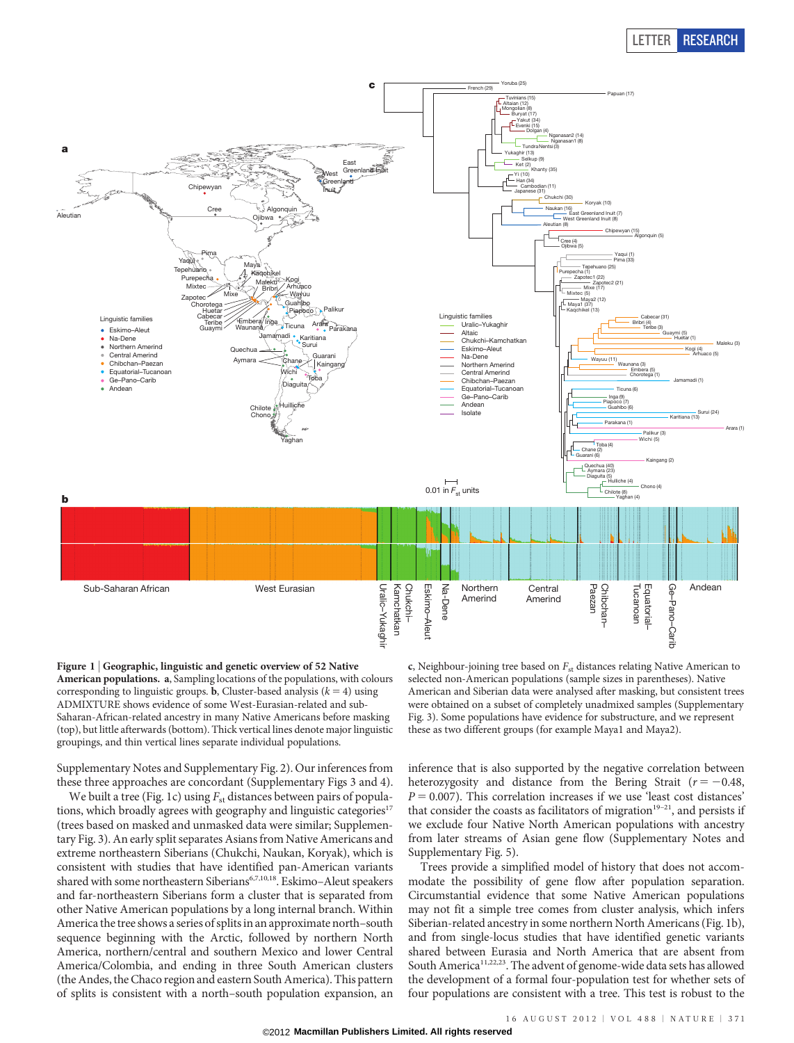### LETTER RESEARCH



Figure 1 | Geographic, linguistic and genetic overview of 52 Native American populations. a, Sampling locations of the populations, with colours corresponding to linguistic groups. **b**, Cluster-based analysis  $(k = 4)$  using ADMIXTURE shows evidence of some West-Eurasian-related and sub-Saharan-African-related ancestry in many Native Americans before masking (top), but little afterwards (bottom). Thick vertical lines denote major linguistic groupings, and thin vertical lines separate individual populations.

Supplementary Notes and Supplementary Fig. 2). Our inferences from these three approaches are concordant (Supplementary Figs 3 and 4).

We built a tree (Fig. 1c) using  $F_{st}$  distances between pairs of populations, which broadly agrees with geography and linguistic categories $^{17}$ (trees based on masked and unmasked data were similar; Supplementary Fig. 3). An early split separates Asians from Native Americans and extreme northeastern Siberians (Chukchi, Naukan, Koryak), which is consistent with studies that have identified pan-American variants shared with some northeastern Siberians<sup>6,7,10,18</sup>. Eskimo-Aleut speakers and far-northeastern Siberians form a cluster that is separated from other Native American populations by a long internal branch. Within America the tree shows a series of splits in an approximate north–south sequence beginning with the Arctic, followed by northern North America, northern/central and southern Mexico and lower Central America/Colombia, and ending in three South American clusters (the Andes, the Chaco region and eastern South America). This pattern of splits is consistent with a north–south population expansion, an

 $c$ , Neighbour-joining tree based on  $F_{st}$  distances relating Native American to selected non-American populations (sample sizes in parentheses). Native American and Siberian data were analysed after masking, but consistent trees were obtained on a subset of completely unadmixed samples (Supplementary Fig. 3). Some populations have evidence for substructure, and we represent these as two different groups (for example Maya1 and Maya2).

inference that is also supported by the negative correlation between heterozygosity and distance from the Bering Strait ( $r = -0.48$ ,  $P = 0.007$ ). This correlation increases if we use 'least cost distances' that consider the coasts as facilitators of migration<sup>19–21</sup>, and persists if we exclude four Native North American populations with ancestry from later streams of Asian gene flow (Supplementary Notes and Supplementary Fig. 5).

Trees provide a simplified model of history that does not accommodate the possibility of gene flow after population separation. Circumstantial evidence that some Native American populations may not fit a simple tree comes from cluster analysis, which infers Siberian-related ancestry in some northern North Americans (Fig. 1b), and from single-locus studies that have identified genetic variants shared between Eurasia and North America that are absent from South America<sup>11,22,23</sup>. The advent of genome-wide data sets has allowed the development of a formal four-population test for whether sets of four populations are consistent with a tree. This test is robust to the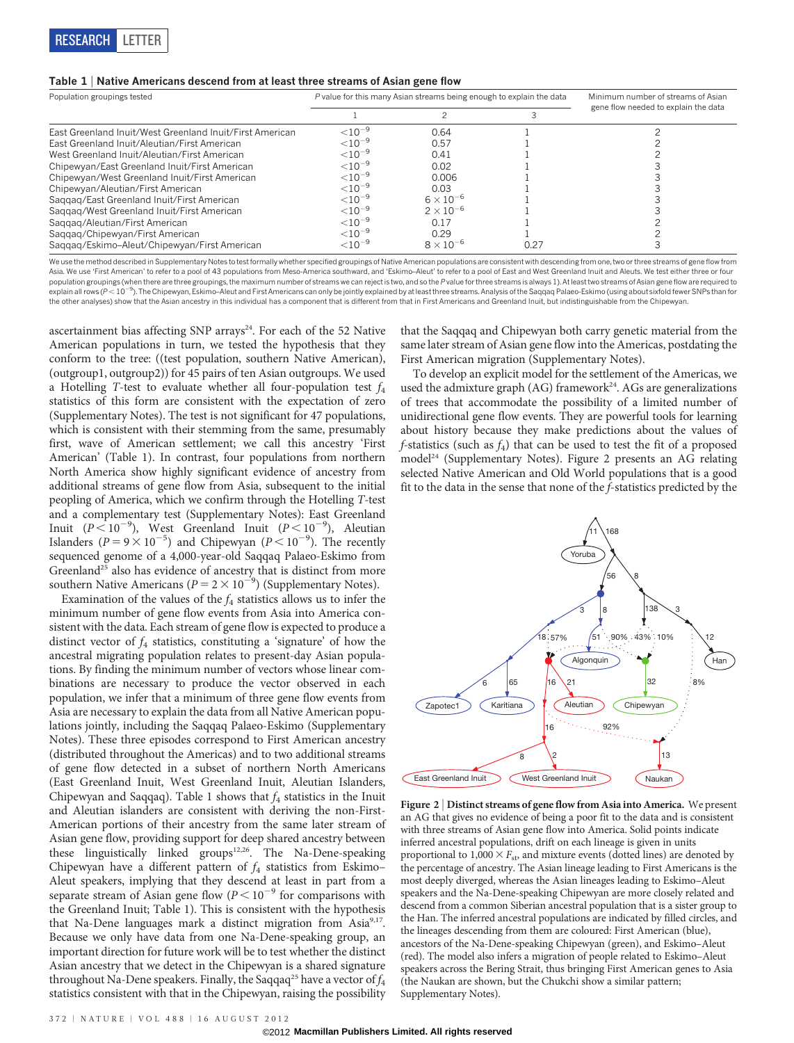#### Table 1 <sup>|</sup> Native Americans descend from at least three streams of Asian gene flow

| Population groupings tested                              | P value for this many Asian streams being enough to explain the data |                    |      | Minimum number of streams of Asian   |
|----------------------------------------------------------|----------------------------------------------------------------------|--------------------|------|--------------------------------------|
|                                                          |                                                                      |                    |      | gene flow needed to explain the data |
| East Greenland Inuit/West Greenland Inuit/First American | ${<}10^{-9}$                                                         | 0.64               |      |                                      |
| East Greenland Inuit/Aleutian/First American             | ${<}10^{-9}$                                                         | 0.57               |      |                                      |
| West Greenland Inuit/Aleutian/First American             | ${<}10^{-9}$                                                         | 0.41               |      |                                      |
| Chipewyan/East Greenland Inuit/First American            | ${<}10^{-9}$                                                         | 0.02               |      |                                      |
| Chipewyan/West Greenland Inuit/First American            | ${<}10^{-9}$                                                         | 0.006              |      |                                      |
| Chipewyan/Aleutian/First American                        | ${<}10^{-9}$                                                         | 0.03               |      |                                      |
| Saggag/East Greenland Inuit/First American               | $< 10^{-9}$                                                          | $6 \times 10^{-6}$ |      |                                      |
| Saggag/West Greenland Inuit/First American               | ${<}10^{-9}$                                                         | $2 \times 10^{-6}$ |      |                                      |
| Saggag/Aleutian/First American                           | ${<}10^{-9}$                                                         | 0.17               |      |                                      |
| Saggag/Chipewyan/First American                          | ${<}10^{-9}$                                                         | 0.29               |      |                                      |
| Saggag/Eskimo-Aleut/Chipewyan/First American             | ${<}10^{-9}$                                                         | $8 \times 10^{-6}$ | 0.27 |                                      |

We use the method described in Supplementary Notes to test formally whether specified groupings of Native American populations are consistent with descending from one, two or three streams of gene flow from Asia. We use 'First American' to refer to a pool of 43 populations from Meso-America southward, and 'Eskimo-Aleut' to refer to a pool of East and West Greenland Inuit and Aleuts. We test either three or four population groupings (when there are three groupings, the maximum number of streams we can reject is two, and so the P value for three streams is always 1). At least two streams of Asian gene flow are required to explain all rows (P  $<$  10 $^{-9}$ ). The Chipewyan, Eskimo–Aleut and First Americans can only be jointly explained by at least three streams. Analysis of the Saqqaq Palaeo-Eskimo (using about sixfold fewer SNPs than for the other analyses) show that the Asian ancestry in this individual has a component that is different from that in First Americans and Greenland Inuit, but indistinguishable from the Chipewyan.

ascertainment bias affecting SNP arrays<sup>24</sup>. For each of the 52 Native American populations in turn, we tested the hypothesis that they conform to the tree: ((test population, southern Native American), (outgroup1, outgroup2)) for 45 pairs of ten Asian outgroups. We used a Hotelling T-test to evaluate whether all four-population test  $f_4$ statistics of this form are consistent with the expectation of zero (Supplementary Notes). The test is not significant for 47 populations, which is consistent with their stemming from the same, presumably first, wave of American settlement; we call this ancestry 'First American' (Table 1). In contrast, four populations from northern North America show highly significant evidence of ancestry from additional streams of gene flow from Asia, subsequent to the initial peopling of America, which we confirm through the Hotelling T-test and a complementary test (Supplementary Notes): East Greenland Inuit  $(P < 10^{-9})$ , West Greenland Inuit  $(P < 10^{-9})$ , Aleutian Islanders ( $P = 9 \times 10^{-5}$ ) and Chipewyan ( $P < 10^{-9}$ ). The recently sequenced genome of a 4,000-year-old Saqqaq Palaeo-Eskimo from Greenland<sup>25</sup> also has evidence of ancestry that is distinct from more southern Native Americans ( $P = 2 \times 10^{-9}$ ) (Supplementary Notes).

Examination of the values of the  $f_4$  statistics allows us to infer the minimum number of gene flow events from Asia into America consistent with the data. Each stream of gene flow is expected to produce a distinct vector of  $f_4$  statistics, constituting a 'signature' of how the ancestral migrating population relates to present-day Asian populations. By finding the minimum number of vectors whose linear combinations are necessary to produce the vector observed in each population, we infer that a minimum of three gene flow events from Asia are necessary to explain the data from all Native American populations jointly, including the Saqqaq Palaeo-Eskimo (Supplementary Notes). These three episodes correspond to First American ancestry (distributed throughout the Americas) and to two additional streams of gene flow detected in a subset of northern North Americans (East Greenland Inuit, West Greenland Inuit, Aleutian Islanders, Chipewyan and Saqqaq). Table 1 shows that  $f_4$  statistics in the Inuit and Aleutian islanders are consistent with deriving the non-First-American portions of their ancestry from the same later stream of Asian gene flow, providing support for deep shared ancestry between these linguistically linked groups<sup>12,26</sup>. The Na-Dene-speaking Chipewyan have a different pattern of  $f_4$  statistics from Eskimo-Aleut speakers, implying that they descend at least in part from a separate stream of Asian gene flow  $(P < 10^{-9}$  for comparisons with the Greenland Inuit; Table 1). This is consistent with the hypothesis that Na-Dene languages mark a distinct migration from Asia<sup>9,17</sup>. Because we only have data from one Na-Dene-speaking group, an important direction for future work will be to test whether the distinct Asian ancestry that we detect in the Chipewyan is a shared signature throughout Na-Dene speakers. Finally, the Saqqaq<sup>25</sup> have a vector of  $f_4$ statistics consistent with that in the Chipewyan, raising the possibility

that the Saqqaq and Chipewyan both carry genetic material from the same later stream of Asian gene flow into the Americas, postdating the First American migration (Supplementary Notes).

To develop an explicit model for the settlement of the Americas, we used the admixture graph  $(AG)$  framework<sup>24</sup>. AGs are generalizations of trees that accommodate the possibility of a limited number of unidirectional gene flow events. They are powerful tools for learning about history because they make predictions about the values of f-statistics (such as  $f_4$ ) that can be used to test the fit of a proposed model<sup>24</sup> (Supplementary Notes). Figure 2 presents an AG relating selected Native American and Old World populations that is a good fit to the data in the sense that none of the f-statistics predicted by the



Figure 2 | Distinct streams of gene flow from Asia into America. We present an AG that gives no evidence of being a poor fit to the data and is consistent with three streams of Asian gene flow into America. Solid points indicate inferred ancestral populations, drift on each lineage is given in units proportional to  $1,000 \times F_{\rm sb}$  and mixture events (dotted lines) are denoted by the percentage of ancestry. The Asian lineage leading to First Americans is the most deeply diverged, whereas the Asian lineages leading to Eskimo–Aleut speakers and the Na-Dene-speaking Chipewyan are more closely related and descend from a common Siberian ancestral population that is a sister group to the Han. The inferred ancestral populations are indicated by filled circles, and the lineages descending from them are coloured: First American (blue), ancestors of the Na-Dene-speaking Chipewyan (green), and Eskimo–Aleut (red). The model also infers a migration of people related to Eskimo–Aleut speakers across the Bering Strait, thus bringing First American genes to Asia (the Naukan are shown, but the Chukchi show a similar pattern; Supplementary Notes).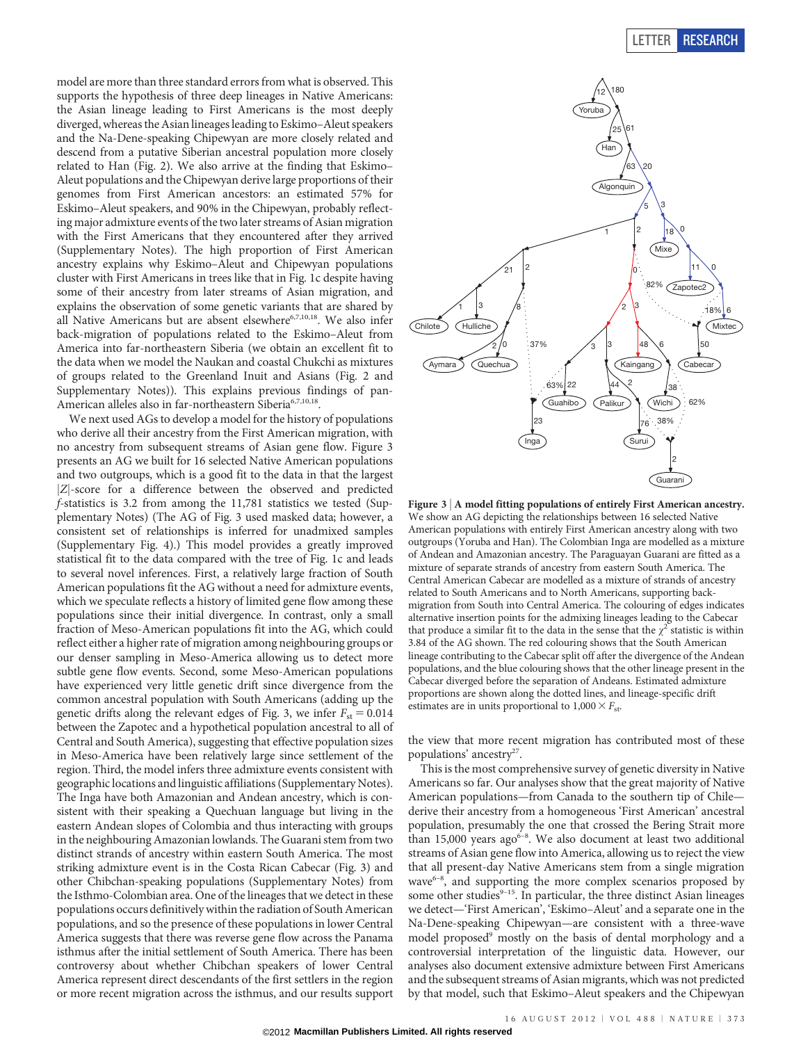model are more than three standard errors from what is observed. This supports the hypothesis of three deep lineages in Native Americans: the Asian lineage leading to First Americans is the most deeply diverged, whereas the Asian lineages leading to Eskimo–Aleut speakers and the Na-Dene-speaking Chipewyan are more closely related and descend from a putative Siberian ancestral population more closely related to Han (Fig. 2). We also arrive at the finding that Eskimo– Aleut populations and the Chipewyan derive large proportions of their genomes from First American ancestors: an estimated 57% for Eskimo–Aleut speakers, and 90% in the Chipewyan, probably reflecting major admixture events of the two later streams of Asian migration with the First Americans that they encountered after they arrived (Supplementary Notes). The high proportion of First American ancestry explains why Eskimo–Aleut and Chipewyan populations cluster with First Americans in trees like that in Fig. 1c despite having some of their ancestry from later streams of Asian migration, and explains the observation of some genetic variants that are shared by all Native Americans but are absent elsewhere<sup>6,7,10,18</sup>. We also infer back-migration of populations related to the Eskimo–Aleut from America into far-northeastern Siberia (we obtain an excellent fit to the data when we model the Naukan and coastal Chukchi as mixtures of groups related to the Greenland Inuit and Asians (Fig. 2 and Supplementary Notes)). This explains previous findings of pan-American alleles also in far-northeastern Siberia<sup>6,7,10,18</sup>.

We next used AGs to develop a model for the history of populations who derive all their ancestry from the First American migration, with no ancestry from subsequent streams of Asian gene flow. Figure 3 presents an AG we built for 16 selected Native American populations and two outgroups, which is a good fit to the data in that the largest  $|Z|$ -score for a difference between the observed and predicted f-statistics is 3.2 from among the 11,781 statistics we tested (Supplementary Notes) (The AG of Fig. 3 used masked data; however, a consistent set of relationships is inferred for unadmixed samples (Supplementary Fig. 4).) This model provides a greatly improved statistical fit to the data compared with the tree of Fig. 1c and leads to several novel inferences. First, a relatively large fraction of South American populations fit the AG without a need for admixture events, which we speculate reflects a history of limited gene flow among these populations since their initial divergence. In contrast, only a small fraction of Meso-American populations fit into the AG, which could reflect either a higher rate of migration among neighbouring groups or our denser sampling in Meso-America allowing us to detect more subtle gene flow events. Second, some Meso-American populations have experienced very little genetic drift since divergence from the common ancestral population with South Americans (adding up the genetic drifts along the relevant edges of Fig. 3, we infer  $F_{\text{st}} = 0.014$ between the Zapotec and a hypothetical population ancestral to all of Central and South America), suggesting that effective population sizes in Meso-America have been relatively large since settlement of the region. Third, the model infers three admixture events consistent with geographic locations and linguistic affiliations (Supplementary Notes). The Inga have both Amazonian and Andean ancestry, which is consistent with their speaking a Quechuan language but living in the eastern Andean slopes of Colombia and thus interacting with groups in the neighbouring Amazonian lowlands. The Guarani stem from two distinct strands of ancestry within eastern South America. The most striking admixture event is in the Costa Rican Cabecar (Fig. 3) and other Chibchan-speaking populations (Supplementary Notes) from the Isthmo-Colombian area. One of the lineages that we detect in these populations occurs definitively within the radiation of South American populations, and so the presence of these populations in lower Central America suggests that there was reverse gene flow across the Panama isthmus after the initial settlement of South America. There has been controversy about whether Chibchan speakers of lower Central America represent direct descendants of the first settlers in the region or more recent migration across the isthmus, and our results support



Figure 3 <sup>|</sup> A model fitting populations of entirely First American ancestry. We show an AG depicting the relationships between 16 selected Native American populations with entirely First American ancestry along with two outgroups (Yoruba and Han). The Colombian Inga are modelled as a mixture of Andean and Amazonian ancestry. The Paraguayan Guarani are fitted as a mixture of separate strands of ancestry from eastern South America. The Central American Cabecar are modelled as a mixture of strands of ancestry related to South Americans and to North Americans, supporting backmigration from South into Central America. The colouring of edges indicates alternative insertion points for the admixing lineages leading to the Cabecar that produce a similar fit to the data in the sense that the  $\chi^2$  statistic is within 3.84 of the AG shown. The red colouring shows that the South American lineage contributing to the Cabecar split off after the divergence of the Andean populations, and the blue colouring shows that the other lineage present in the Cabecar diverged before the separation of Andeans. Estimated admixture proportions are shown along the dotted lines, and lineage-specific drift estimates are in units proportional to  $1,000 \times F_{\text{st}}$ .

the view that more recent migration has contributed most of these populations' ancestry<sup>27</sup>.

This is the most comprehensive survey of genetic diversity in Native Americans so far. Our analyses show that the great majority of Native American populations—from Canada to the southern tip of Chile derive their ancestry from a homogeneous 'First American' ancestral population, presumably the one that crossed the Bering Strait more than 15,000 years ago<sup>6-8</sup>. We also document at least two additional streams of Asian gene flow into America, allowing us to reject the view that all present-day Native Americans stem from a single migration wave<sup>6-8</sup>, and supporting the more complex scenarios proposed by some other studies<sup>9-15</sup>. In particular, the three distinct Asian lineages we detect—'First American', 'Eskimo–Aleut' and a separate one in the Na-Dene-speaking Chipewyan—are consistent with a three-wave model proposed<sup>9</sup> mostly on the basis of dental morphology and a controversial interpretation of the linguistic data. However, our analyses also document extensive admixture between First Americans and the subsequent streams of Asian migrants, which was not predicted by that model, such that Eskimo–Aleut speakers and the Chipewyan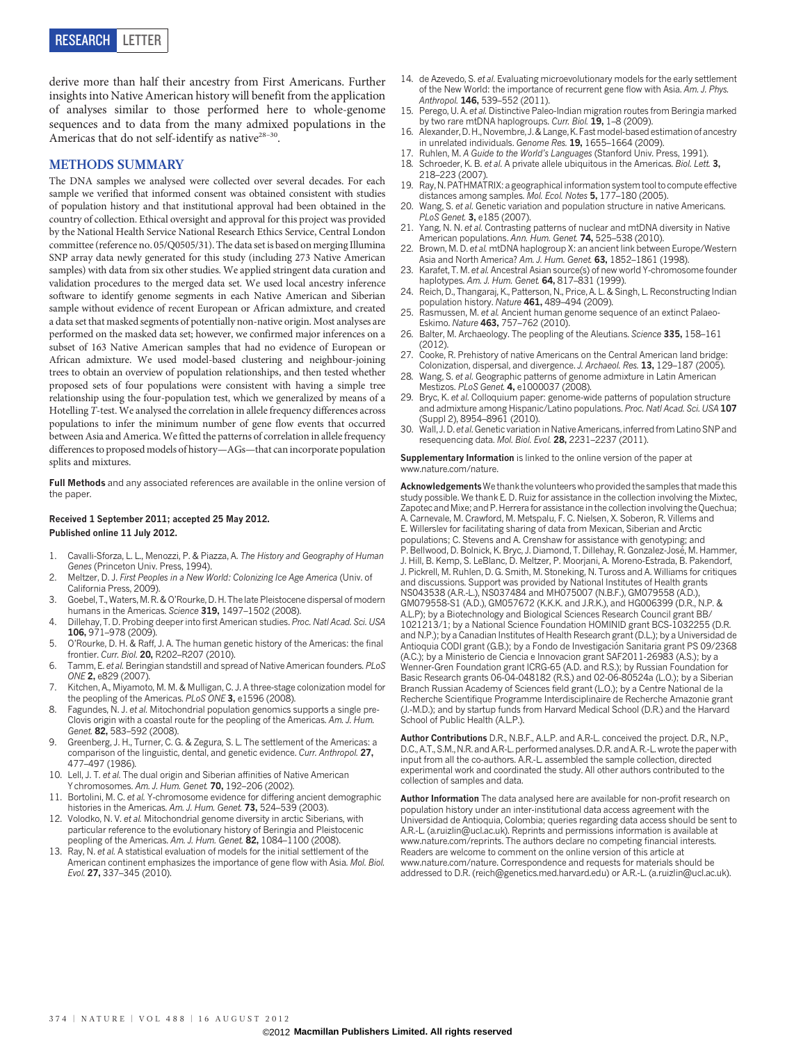derive more than half their ancestry from First Americans. Further insights into Native American history will benefit from the application of analyses similar to those performed here to whole-genome sequences and to data from the many admixed populations in the Americas that do not self-identify as native<sup>28-30</sup>.

#### METHODS SUMMARY

The DNA samples we analysed were collected over several decades. For each sample we verified that informed consent was obtained consistent with studies of population history and that institutional approval had been obtained in the country of collection. Ethical oversight and approval for this project was provided by the National Health Service National Research Ethics Service, Central London committee (reference no. 05/Q0505/31). The data set is based on merging Illumina SNP array data newly generated for this study (including 273 Native American samples) with data from six other studies. We applied stringent data curation and validation procedures to the merged data set. We used local ancestry inference software to identify genome segments in each Native American and Siberian sample without evidence of recent European or African admixture, and created a data set that masked segments of potentially non-native origin. Most analyses are performed on the masked data set; however, we confirmed major inferences on a subset of 163 Native American samples that had no evidence of European or African admixture. We used model-based clustering and neighbour-joining trees to obtain an overview of population relationships, and then tested whether proposed sets of four populations were consistent with having a simple tree relationship using the four-population test, which we generalized by means of a Hotelling T-test. We analysed the correlation in allele frequency differences across populations to infer the minimum number of gene flow events that occurred between Asia and America. We fitted the patterns of correlation in allele frequency differences to proposed models of history—AGs—that can incorporate population splits and mixtures.

Full Methods and any associated references are available in the [online version of](www.nature.com/doifinder/10.1038/nature11258) [the paper](www.nature.com/doifinder/10.1038/nature11258).

#### Received 1 September 2011; accepted 25 May 2012. Published online 11 July 2012.

- 1. Cavalli-Sforza, L. L., Menozzi, P. & Piazza, A. The History and Geography of Human Genes (Princeton Univ. Press, 1994).
- 2. Meltzer, D. J. First Peoples in a New World: Colonizing Ice Age America (Univ. of California Press, 2009).
- 3. Goebel, T., Waters, M. R. & O'Rourke, D. H. The late Pleistocene dispersal of modern humans in the Americas. Science 319, 1497-1502 (2008).
- Dillehay, T. D. Probing deeper into first American studies. Proc. Natl Acad. Sci. USA 106, 971–978 (2009).
- 5. O'Rourke, D. H. & Raff, J. A. The human genetic history of the Americas: the final frontier. Curr. Biol. 20, R202–R207 (2010).
- 6. Tamm, E. et al. Beringian standstill and spread of Native American founders. PLoS ONE 2, e829 (2007).
- Kitchen, A., Miyamoto, M. M. & Mulligan, C. J. A three-stage colonization model for the peopling of the Americas. PLoS ONE 3, e1596 (2008).
- 8. Fagundes, N. J. et al. Mitochondrial population genomics supports a single pre-Clovis origin with a coastal route for the peopling of the Americas. Am. J. Hum. Genet. 82, 583-592 (2008).
- 9. Greenberg, J. H., Turner, C. G. & Zegura, S. L. The settlement of the Americas: a comparison of the linguistic, dental, and genetic evidence. Curr. Anthropol. 27, 477–497 (1986).
- 10. Lell, J. T. et al. The dual origin and Siberian affinities of Native American Y chromosomes. Am. J. Hum. Genet. 70, 192-206 (2002).
- 11. Bortolini, M. C. et al. Y-chromosome evidence for differing ancient demographic histories in the Americas. Am. J. Hum. Genet. 73, 524-539 (2003).
- 12. Volodko, N. V. et al. Mitochondrial genome diversity in arctic Siberians, with particular reference to the evolutionary history of Beringia and Pleistocenic peopling of the Americas. Am. J. Hum. Genet. 82, 1084-1100 (2008).
- 13. Ray, N. et al. A statistical evaluation of models for the initial settlement of the American continent emphasizes the importance of gene flow with Asia. Mol. Biol. Evol. 27, 337–345 (2010).
- 14. de Azevedo, S. et al. Evaluating microevolutionary models for the early settlement of the New World: the importance of recurrent gene flow with Asia. Am. J. Phys. Anthropol. 146, 539-552 (2011).
- 15. Perego, U. A. et al. Distinctive Paleo-Indian migration routes from Beringia marked by two rare mtDNA haplogroups. Curr. Biol. 19, 1-8 (2009).
- 16. Alexander, D. H., Novembre, J. & Lange, K. Fast model-based estimation of ancestry in unrelated individuals. Genome Res. 19, 1655–1664 (2009).
- 17. Ruhlen, M. A Guide to the World's Languages (Stanford Univ. Press, 1991).<br>18. Schroeder K. B. et al. A private allele ubiquitous in the Americas *Riol. Let*
- Schroeder, K. B. et al. A private allele ubiquitous in the Americas. Biol. Lett. 3, 218–223 (2007).
- 19. Ray, N. PATHMATRIX: a geographical information system tool to compute effective distances among samples. Mol. Ecol. Notes 5, 177–180 (2005).
- 20. Wang, S. et al. Genetic variation and population structure in native Americans. PLoS Genet. 3, e185 (2007).
- Yang, N. N. et al. Contrasting patterns of nuclear and mtDNA diversity in Native American populations. Ann. Hum. Genet. 74, 525-538 (2010).
- Brown, M. D. et al. mtDNA haplogroup X: an ancient link between Europe/Western Asia and North America? Am. J. Hum. Genet. 63, 1852-1861 (1998).
- 23. Karafet, T. M. et al. Ancestral Asian source(s) of new world Y-chromosome founder haplotypes. Am. J. Hum. Genet. 64, 817-831 (1999).
- 24. Reich, D., Thangaraj, K., Patterson, N., Price, A. L. & Singh, L. Reconstructing Indian population history. Nature 461, 489–494 (2009).
- Rasmussen, M. et al. Ancient human genome sequence of an extinct Palaeo-Eskimo. Nature 463, 757–762 (2010).
- 26. Balter, M. Archaeology. The peopling of the Aleutians. Science 335, 158–161 (2012).
- 27. Cooke, R. Prehistory of native Americans on the Central American land bridge: Colonization, dispersal, and divergence. J. Archaeol. Res. 13, 129–187 (2005).
- 28. Wang, S. et al. Geographic patterns of genome admixture in Latin American Mestizos. PLoS Genet. 4, e1000037 (2008).
- 29. Bryc, K. et al. Colloquium paper: genome-wide patterns of population structure and admixture among Hispanic/Latino populations. Proc. Natl Acad. Sci. USA 107 (Suppl 2), 8954–8961 (2010).
- 30. Wall, J. D. et al. Genetic variation in Native Americans, inferred from Latino SNP and resequencing data. Mol. Biol. Evol. 28, 2231–2237 (2011).

Supplementary Information is linked to the online version of the paper at <www.nature.com/nature>.

Acknowledgements We thank the volunteers who provided the samples that made this study possible. We thank E. D. Ruiz for assistance in the collection involving the Mixtec, Zapotec and Mixe; and P. Herrera for assistance in the collection involving the Quechua; A. Carnevale, M. Crawford, M. Metspalu, F. C. Nielsen, X. Soberon, R. Villems and E. Willerslev for facilitating sharing of data from Mexican, Siberian and Arctic populations; C. Stevens and A. Crenshaw for assistance with genotyping; and P. Bellwood, D. Bolnick, K. Bryc, J. Diamond, T. Dillehay, R. Gonzalez-José, M. Hammer, J. Hill, B. Kemp, S. LeBlanc, D. Meltzer, P. Moorjani, A. Moreno-Estrada, B. Pakendorf, J. Pickrell, M. Ruhlen, D. G. Smith, M. Stoneking, N. Tuross and A. Williams for critiques and discussions. Support was provided by National Institutes of Health grants NS043538 (A.R.-L.), NS037484 and MH075007 (N.B.F.), GM079558 (A.D.), GM079558-S1 (A.D.), GM057672 (K.K.K. and J.R.K.), and HG006399 (D.R., N.P. & A.L.P); by a Biotechnology and Biological Sciences Research Council grant BB/ 1021213/1; by a National Science Foundation HOMINID grant BCS-1032255 (D.R. and N.P.); by a Canadian Institutes of Health Research grant (D.L.); by a Universidad de Antioquia CODI grant (G.B.); by a Fondo de Investigación Sanitaria grant PS 09/2368 (A.C.); by a Ministerio de Ciencia e Innovacion grant SAF2011-26983 (A.S.); by a Wenner-Gren Foundation grant ICRG-65 (A.D. and R.S.); by Russian Foundation for Basic Research grants 06-04-048182 (R.S.) and 02-06-80524a (L.O.); by a Siberian Branch Russian Academy of Sciences field grant (L.O.); by a Centre National de la Recherche Scientifique Programme Interdisciplinaire de Recherche Amazonie grant (J.-M.D.); and by startup funds from Harvard Medical School (D.R.) and the Harvard School of Public Health (A.L.P.).

Author Contributions D.R., N.B.F., A.L.P. and A.R-L. conceived the project. D.R., N.P., D.C., A.T., S.M., N.R. and A.R-L. performed analyses. D.R. and A. R.-L. wrote the paper with input from all the co-authors. A.R.-L. assembled the sample collection, directed experimental work and coordinated the study. All other authors contributed to the collection of samples and data.

Author Information The data analysed here are available for non-profit research on population history under an inter-institutional data access agreement with the Universidad de Antioquia, Colombia; queries regarding data access should be sent to A.R.-L. [\(a.ruizlin@ucl.ac.uk\).](mailto:a.ruizlin@ucl.ac.uk) Reprints and permissions information is available at <www.nature.com/reprints>. The authors declare no competing financial interests. Readers are welcome to comment on the online version of this article at <www.nature.com/nature>. Correspondence and requests for materials should be addressed to D.R. [\(reich@genetics.med.harvard.edu\)](mailto:reich@genetics.med.harvard.edu) or A.R.-L. [\(a.ruizlin@ucl.ac.uk\)](mailto:a.ruizlin@ucl.ac.uk).